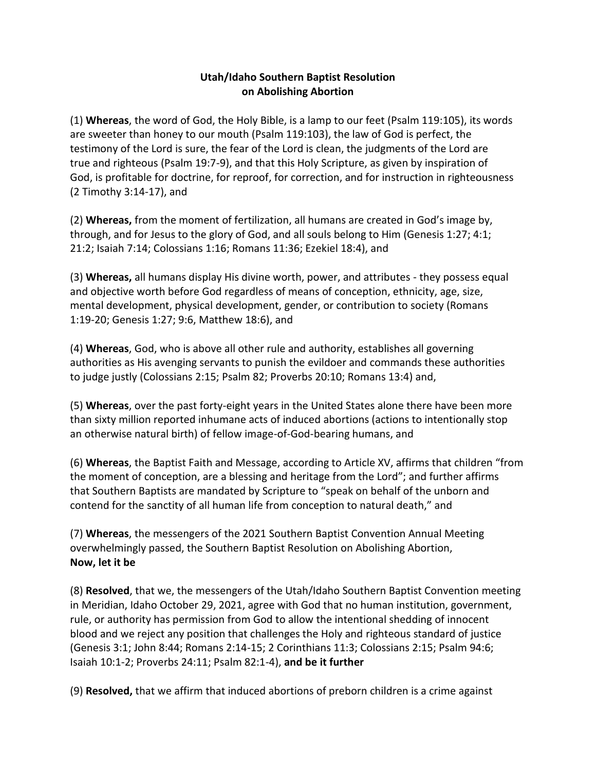## **Utah/Idaho Southern Baptist Resolution on Abolishing Abortion**

(1) **Whereas**, the word of God, the Holy Bible, is a lamp to our feet (Psalm 119:105), its words are sweeter than honey to our mouth (Psalm 119:103), the law of God is perfect, the testimony of the Lord is sure, the fear of the Lord is clean, the judgments of the Lord are true and righteous (Psalm 19:7-9), and that this Holy Scripture, as given by inspiration of God, is profitable for doctrine, for reproof, for correction, and for instruction in righteousness (2 Timothy 3:14-17), and

(2) **Whereas,** from the moment of fertilization, all humans are created in God's image by, through, and for Jesus to the glory of God, and all souls belong to Him (Genesis 1:27; 4:1; 21:2; Isaiah 7:14; Colossians 1:16; Romans 11:36; Ezekiel 18:4), and

(3) **Whereas,** all humans display His divine worth, power, and attributes - they possess equal and objective worth before God regardless of means of conception, ethnicity, age, size, mental development, physical development, gender, or contribution to society (Romans 1:19-20; Genesis 1:27; 9:6, Matthew 18:6), and

(4) **Whereas**, God, who is above all other rule and authority, establishes all governing authorities as His avenging servants to punish the evildoer and commands these authorities to judge justly (Colossians 2:15; Psalm 82; Proverbs 20:10; Romans 13:4) and,

(5) **Whereas**, over the past forty-eight years in the United States alone there have been more than sixty million reported inhumane acts of induced abortions (actions to intentionally stop an otherwise natural birth) of fellow image-of-God-bearing humans, and

(6) **Whereas**, the Baptist Faith and Message, according to Article XV, affirms that children "from the moment of conception, are a blessing and heritage from the Lord"; and further affirms that Southern Baptists are mandated by Scripture to "speak on behalf of the unborn and contend for the sanctity of all human life from conception to natural death," and

(7) **Whereas**, the messengers of the 2021 Southern Baptist Convention Annual Meeting overwhelmingly passed, the Southern Baptist Resolution on Abolishing Abortion, **Now, let it be**

(8) **Resolved**, that we, the messengers of the Utah/Idaho Southern Baptist Convention meeting in Meridian, Idaho October 29, 2021, agree with God that no human institution, government, rule, or authority has permission from God to allow the intentional shedding of innocent blood and we reject any position that challenges the Holy and righteous standard of justice (Genesis 3:1; John 8:44; Romans 2:14-15; 2 Corinthians 11:3; Colossians 2:15; Psalm 94:6; Isaiah 10:1-2; Proverbs 24:11; Psalm 82:1-4), **and be it further**

(9) **Resolved,** that we affirm that induced abortions of preborn children is a crime against